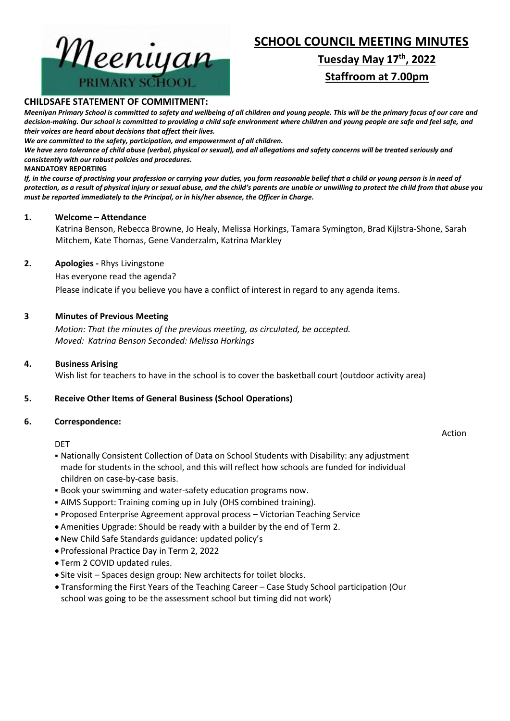

# **Tuesday May 17th , 2022 Staffroom at 7.00pm**



### **CHILDSAFE STATEMENT OF COMMITMENT:**

*Meeniyan Primary School is committed to safety and wellbeing of all children and young people. This will be the primary focus of our care and decision-making. Our school is committed to providing a child safe environment where children and young people are safe and feel safe, and their voices are heard about decisions that affect their lives.*

*We are committed to the safety, participation, and empowerment of all children.*

*We have zero tolerance of child abuse (verbal, physical or sexual), and all allegations and safety concerns will be treated seriously and consistently with our robust policies and procedures.*

#### **MANDATORY REPORTING**

*If, in the course of practising your profession or carrying your duties, you form reasonable belief that a child or young person is in need of protection, as a result of physical injury or sexual abuse, and the child's parents are unable or unwilling to protect the child from that abuse you must be reported immediately to the Principal, or in his/her absence, the Officer in Charge.*

#### **1. Welcome – Attendance**

Katrina Benson, Rebecca Browne, Jo Healy, Melissa Horkings, Tamara Symington, Brad Kijlstra-Shone, Sarah Mitchem, Kate Thomas, Gene Vanderzalm, Katrina Markley

#### **2. Apologies -** Rhys Livingstone

Has everyone read the agenda?

Please indicate if you believe you have a conflict of interest in regard to any agenda items.

## **3 Minutes of Previous Meeting**

*Motion: That the minutes of the previous meeting, as circulated, be accepted. Moved: Katrina Benson Seconded: Melissa Horkings*

#### **4. Business Arising**

Wish list for teachers to have in the school is to cover the basketball court (outdoor activity area)

## **5. Receive Other Items of General Business (School Operations)**

#### **6. Correspondence:**

#### DET

- Nationally Consistent Collection of Data on School Students with Disability: any adjustment made for students in the school, and this will reflect how schools are funded for individual children on case-by-case basis.
- Book your swimming and water-safety education programs now.
- **AIMS Support: Training coming up in July (OHS combined training).**
- **Proposed Enterprise Agreement approval process Victorian Teaching Service**
- Amenities Upgrade: Should be ready with a builder by the end of Term 2.
- New Child Safe Standards guidance: updated policy's
- Professional Practice Day in Term 2, 2022
- Term 2 COVID updated rules.
- Site visit Spaces design group: New architects for toilet blocks.
- Transforming the First Years of the Teaching Career Case Study School participation (Our school was going to be the assessment school but timing did not work)